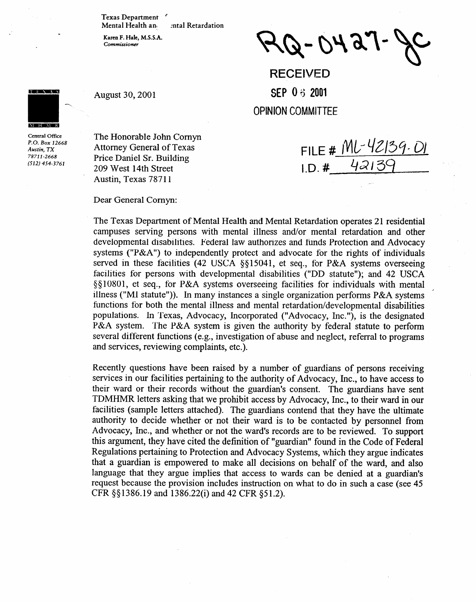**Texas Department '** 

**Mental Health an1 zntal Retardation** 

**Karen F. Hale, M.S.S.A. Commissioner** 

**August 30, 2001** 

 $Q - O A g J$ 

FILE # ML-42139. 01

42130

**RECEIVED SEP 0 3 2001 OPINION COMMITTEE** 

 $1.D.$ #

**THE REAL AND** M H M R

**Central Office**  Austin, TX *Austin, TX*  **7871 l-2668 (512) 454-3761** 

The Honorable John Comyn Attorney General of Texas Price Daniel Sr. Building 209 West 14th Street

Dear General Comyn:

Austin, Texas 78711

The Texas Department of Mental Health and Mental Retardation operates 21 residential campuses serving persons with mental illness and/or mental retardation and other developmental disabilities. Federal law authorizes and funds Protection and Advocacy systems ("P&A") to independently protect and advocate for the rights of individuals served in these facilities (42 USCA  $\S815041$ , et seq., for P&A systems overseeing facilities for persons with developmental disabilities ("DD statute"); and 42 USCA  $\S$ [10801, et seq., for P&A systems overseeing facilities for individuals with mental illness ("MI statute")). In many instances a single organization performs  $P&A$  systems functions for both the mental illness and mental retardation/developmental disabilities populations. In Texas, Advocacy, Incorporated ("Advocacy, Inc."), is the designated P&A system. The P&A system is given the authority by federal statute to perform several different functions (e.g., investigation of abuse and neglect, referral to programs several different functions (e.g., investigation of abuse and neglect, referral to programs and services, reviewing complaints, etc.).

Recently questions have been raised by a number of guardians of persons receiving services in our facilities pertaining to the authority of Advocacy, Inc., to have access to their ward or their records without the guardian's consent. The guardians have sent TDMHMR letters asking that we prohibit access by Advocacy, Inc., to their ward in our facilities (sample letters attached). The guardians contend that they have the ultimate authority to decide whether or not their ward is to be contacted by personnel from Advocacy, Inc., and whether or not the ward's records are to be reviewed. To support this argument, they have cited the definition of "guardian" found in the Code of Federal Regulations pertaining to Protection and Advocacy Systems, which they argue indicates that a guardian is empowered to make all decisions on behalf of the ward, and also language that they argue implies that access to wards can be denied at a guardian's request because the provision includes instruction on what to do in such a case (see 45  $CFR \S$ §1386.19 and 1386.22(i) and 42 CFR §51.2).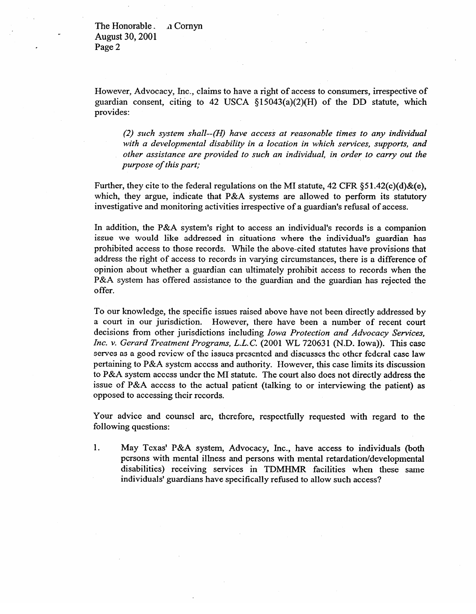The Honorable. 11 Cornyn c August 30,200l Page 2

However, Advocacy, Inc., claims to have a right of access to consumers, irrespective of guardian consent, citing to 42 USCA  $\S15043(a)(2)(H)$  of the DD statute, which provides:

*(2) such system shall--(H) have access at reasonable times to any individual with a developmental disability in a location in which services, supports, and other assistance are provided to such an individual, in order to carry out the purpose of this part;* 

Further, they cite to the federal regulations on the MI statute, 42 CFR  $\S 51.42(c)(d)$ &(e), which, they argue, indicate that P&A systems are allowed to perform its statutory investigative and monitoring activities irrespective of a guardian's refusal of access.

In addition, the P&A system's right to access an individual's records is a companion issue we would like addressed in situations where the individual's guardian has prohibited access to those records. While the above-cited statutes have provisions that address the right of access to records in varying circumstances, there is a difference of opinion about whether a guardian can ultimately prohibit access to records when the opinion about whether a guardian can ultimately prohibit access to records when the red is system has offered assistance to the guardian and the guardian has rejected the offer.

To our knowledge, the specific issues raised above have not been directly addressed by a court in our jurisdiction. However, there have been a number of recent court decisions from other jurisdictions including Iowa Protection and Advocacy Services, Inc. v. Gerard Treatment Programs, L.L.C. (2001 WL 720631 (N.D. Iowa)). This case *Incress* as a good review of the issues presented and discusses the other federal case law pertaining to  $P\&A$  system access and authority. However, this case limits its discussion to P&A system access under the MI statute. The court also does not directly address the issue of P&A access to the actual patient (talking to or interviewing the patient) as opposed to accessing their records.  $\overline{a}$  to accessing the set of  $\overline{b}$ 

Your advice and counsel are, therefore, respectfully requested with regard to the following questions: following questions:

1. May Texas' P&A system, Advocacy, Inc., have access to individuals (both persons with mental illness and persons with mental retardation/developmental disabilities) receiving services in TDMHMR facilities when these same individuals' guardians have specifically refused to allow such access?

individuals' guardians have specifically refused to allow such access?